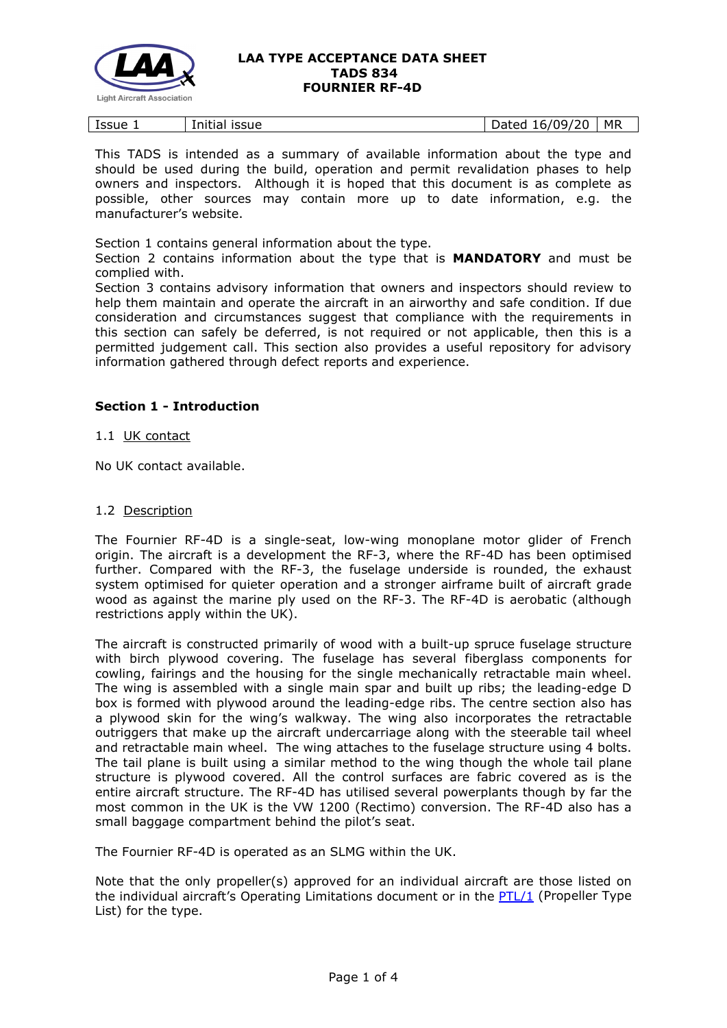

| .<br>Issue 1<br><b>ISSUE</b><br>Initial | '20<br>MR<br>109/<br>Dated<br>16/0 |  |
|-----------------------------------------|------------------------------------|--|
|-----------------------------------------|------------------------------------|--|

This TADS is intended as a summary of available information about the type and should be used during the build, operation and permit revalidation phases to help owners and inspectors. Although it is hoped that this document is as complete as possible, other sources may contain more up to date information, e.g. the manufacturer's website.

Section 1 contains general information about the type.

Section 2 contains information about the type that is **MANDATORY** and must be complied with.

Section 3 contains advisory information that owners and inspectors should review to help them maintain and operate the aircraft in an airworthy and safe condition. If due consideration and circumstances suggest that compliance with the requirements in this section can safely be deferred, is not required or not applicable, then this is a permitted judgement call. This section also provides a useful repository for advisory information gathered through defect reports and experience.

# **Section 1 - Introduction**

## 1.1 UK contact

No UK contact available.

### 1.2 Description

The Fournier RF-4D is a single-seat, low-wing monoplane motor glider of French origin. The aircraft is a development the RF-3, where the RF-4D has been optimised further. Compared with the RF-3, the fuselage underside is rounded, the exhaust system optimised for quieter operation and a stronger airframe built of aircraft grade wood as against the marine ply used on the RF-3. The RF-4D is aerobatic (although restrictions apply within the UK).

The aircraft is constructed primarily of wood with a built-up spruce fuselage structure with birch plywood covering. The fuselage has several fiberglass components for cowling, fairings and the housing for the single mechanically retractable main wheel. The wing is assembled with a single main spar and built up ribs; the leading-edge D box is formed with plywood around the leading-edge ribs. The centre section also has a plywood skin for the wing's walkway. The wing also incorporates the retractable outriggers that make up the aircraft undercarriage along with the steerable tail wheel and retractable main wheel. The wing attaches to the fuselage structure using 4 bolts. The tail plane is built using a similar method to the wing though the whole tail plane structure is plywood covered. All the control surfaces are fabric covered as is the entire aircraft structure. The RF-4D has utilised several powerplants though by far the most common in the UK is the VW 1200 (Rectimo) conversion. The RF-4D also has a small baggage compartment behind the pilot's seat.

The Fournier RF-4D is operated as an SLMG within the UK.

Note that the only propeller(s) approved for an individual aircraft are those listed on the individual aircraft's Operating Limitations document or in the  $PTL/1$  (Propeller Type List) for the type.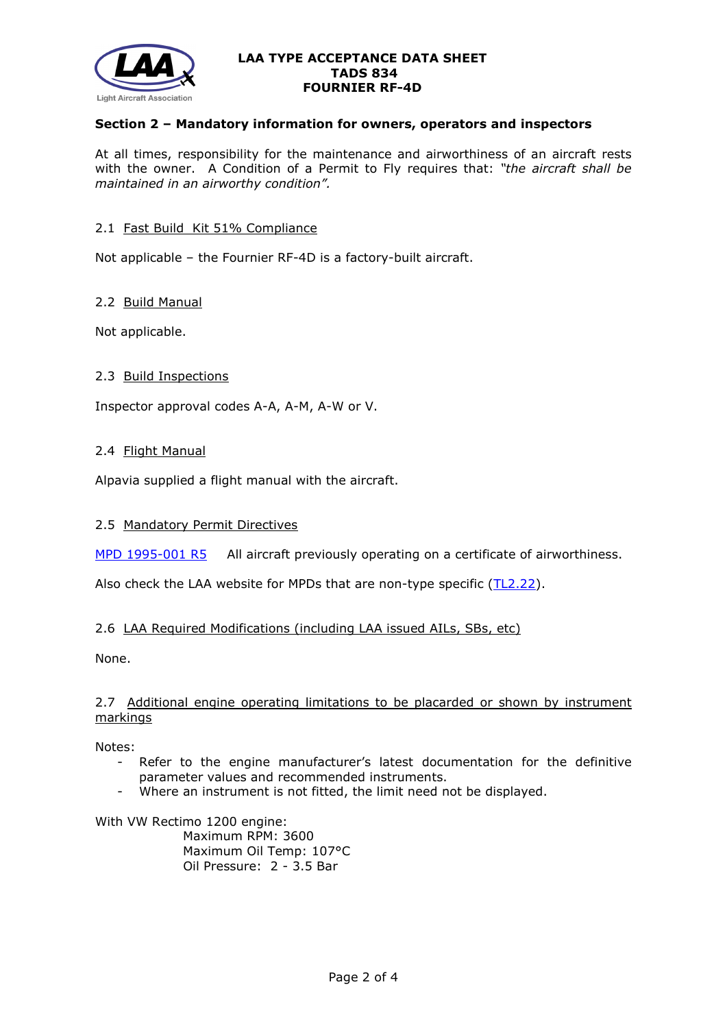

## **Section 2 – Mandatory information for owners, operators and inspectors**

At all times, responsibility for the maintenance and airworthiness of an aircraft rests with the owner. A Condition of a Permit to Fly requires that: *"the aircraft shall be maintained in an airworthy condition".* 

## 2.1 Fast Build Kit 51% Compliance

Not applicable – the Fournier RF-4D is a factory-built aircraft.

## 2.2 Build Manual

Not applicable.

## 2.3 Build Inspections

Inspector approval codes A-A, A-M, A-W or V.

## 2.4 Flight Manual

Alpavia supplied a flight manual with the aircraft.

## 2.5 Mandatory Permit Directives

[MPD 1995-001](http://www.lightaircraftassociation.co.uk/engineering/TADs/834/mpf1995-001r5.pdf) R5 All aircraft previously operating on a certificate of airworthiness.

Also check the LAA website for MPDs that are non-type specific [\(TL2.22\)](http://www.lightaircraftassociation.co.uk/engineering/TechnicalLeaflets/Operating%20An%20Aircraft/TL%202.22%20non-type%20specific%20MPDs.pdf).

## 2.6 LAA Required Modifications (including LAA issued AILs, SBs, etc)

None.

# 2.7 Additional engine operating limitations to be placarded or shown by instrument markings

Notes:

- Refer to the engine manufacturer's latest documentation for the definitive parameter values and recommended instruments.
- Where an instrument is not fitted, the limit need not be displayed.

With VW Rectimo 1200 engine: Maximum RPM: 3600 Maximum Oil Temp: 107°C Oil Pressure: 2 - 3.5 Bar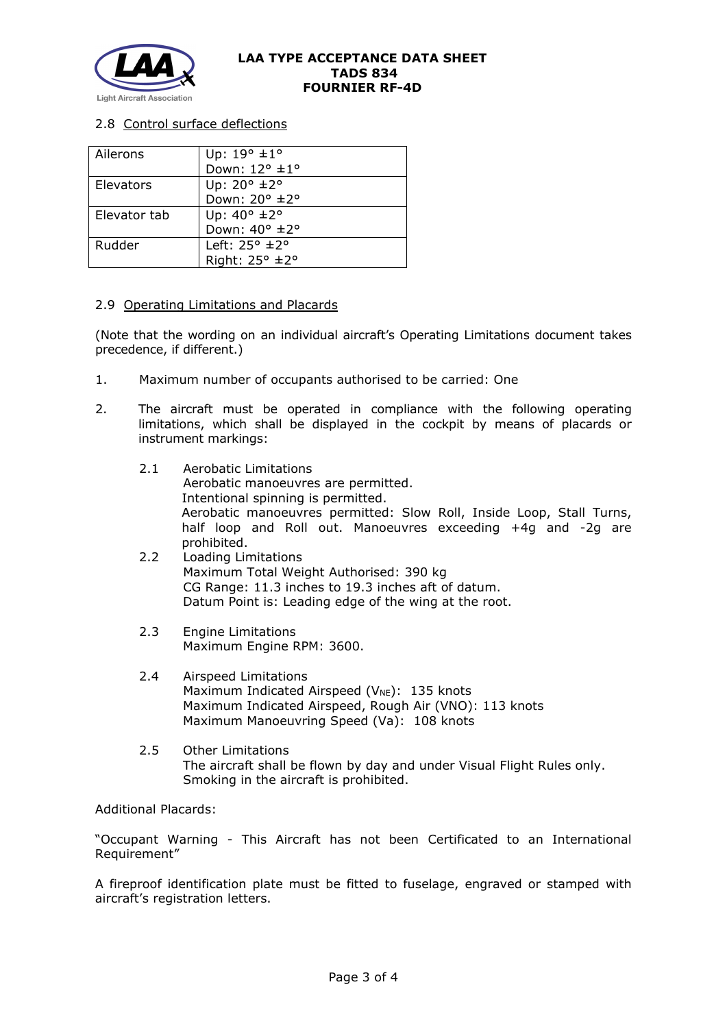

# 2.8 Control surface deflections

| Ailerons     | Up: $19^{\circ}$ ± $1^{\circ}$ |
|--------------|--------------------------------|
|              | Down: 12° ±1°                  |
| Elevators    | Up: $20^{\circ}$ ±2°           |
|              | Down: 20° ±2°                  |
| Elevator tab | Up: $40^{\circ}$ ±2°           |
|              | Down: 40° ±2°                  |
| Rudder       | Left: $25^\circ \pm 2^\circ$   |
|              | Right: 25° ±2°                 |

### 2.9 Operating Limitations and Placards

(Note that the wording on an individual aircraft's Operating Limitations document takes precedence, if different.)

- 1. Maximum number of occupants authorised to be carried: One
- 2. The aircraft must be operated in compliance with the following operating limitations, which shall be displayed in the cockpit by means of placards or instrument markings:
	- 2.1 Aerobatic Limitations Aerobatic manoeuvres are permitted. Intentional spinning is permitted. Aerobatic manoeuvres permitted: Slow Roll, Inside Loop, Stall Turns, half loop and Roll out. Manoeuvres exceeding +4g and -2g are prohibited.
	- 2.2 Loading Limitations Maximum Total Weight Authorised: 390 kg CG Range: 11.3 inches to 19.3 inches aft of datum. Datum Point is: Leading edge of the wing at the root.
	- 2.3 Engine Limitations Maximum Engine RPM: 3600.
	- 2.4 Airspeed Limitations Maximum Indicated Airspeed ( $V_{NE}$ ): 135 knots Maximum Indicated Airspeed, Rough Air (VNO): 113 knots Maximum Manoeuvring Speed (Va): 108 knots
	- 2.5 Other Limitations The aircraft shall be flown by day and under Visual Flight Rules only. Smoking in the aircraft is prohibited.

Additional Placards:

"Occupant Warning - This Aircraft has not been Certificated to an International Requirement"

A fireproof identification plate must be fitted to fuselage, engraved or stamped with aircraft's registration letters.